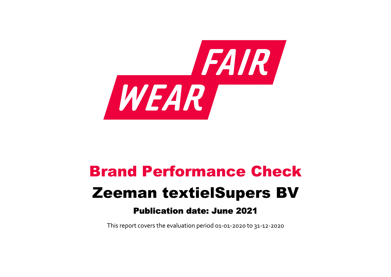

# Brand Performance Check Zeeman textielSupers BV Publication date: June 2021

This report covers the evaluation period 01‐01‐2020 to 31‐12‐2020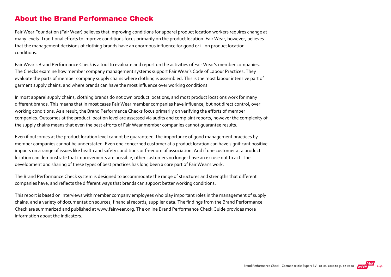#### About the Brand Performance Check

Fair Wear Foundation (Fair Wear) believes that improving conditions for apparel product location workers requires change at many levels. Traditional efforts to improve conditions focus primarily on the product location. Fair Wear, however, believes that the management decisions of clothing brands have an enormous influence for good or ill on product location conditions.

Fair Wear's Brand Performance Check is a tool to evaluate and report on the activities of Fair Wear's member companies. The Checks examine how member company management systems support Fair Wear's Code of Labour Practices. They evaluate the parts of member company supply chains where clothing is assembled. This is the most labour intensive part of garment supply chains, and where brands can have the most influence over working conditions.

In most apparel supply chains, clothing brands do not own product locations, and most product locations work for many different brands. This means that in most cases Fair Wear member companies have influence, but not direct control, over working conditions. As a result, the Brand Performance Checks focus primarily on verifying the efforts of member companies. Outcomes at the product location level are assessed via audits and complaint reports, however the complexity of the supply chains means that even the best efforts of Fair Wear member companies cannot guarantee results.

Even if outcomes at the product location level cannot be guaranteed, the importance of good management practices by member companies cannot be understated. Even one concerned customer at a product location can have significant positive impacts on a range of issues like health and safety conditions or freedom of association. And if one customer at a product location can demonstrate that improvements are possible, other customers no longer have an excuse not to act. The development and sharing of these types of best practices has long been a core part of Fair Wear's work.

The Brand Performance Check system is designed to accommodate the range of structures and strengths that different companies have, and reflects the different ways that brands can support better working conditions.

This report is based on interviews with member company employees who play important roles in the management of supply chains, and a variety of documentation sources, financial records, supplier data. The findings from the Brand Performance Check are summarized and published at [www.fairwear.org](http://www.fairwear.org/). The online [Brand Performance Check Guide](https://api.fairwear.org/wp-content/uploads/2020/03/FWF_BrandPerformanceCheckGuide-DEF.pdf) provides more information about the indicators.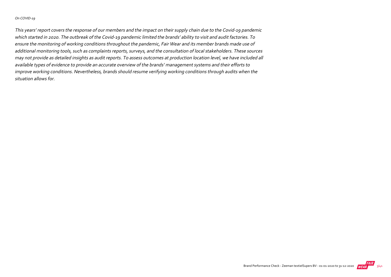#### On COVID‐19

This years' report covers the response of our members and the impact on their supply chain due to the Covid‐19 pandemic which started in 2020. The outbreak of the Covid‐19 pandemic limited the brands' ability to visit and audit factories. To ensure the monitoring of working conditions throughout the pandemic, Fair Wear and its member brands made use of additional monitoring tools, such as complaints reports, surveys, and the consultation of local stakeholders. These sources may not provide as detailed insights as audit reports. To assess outcomes at production location level, we have included all available types of evidence to provide an accurate overview of the brands' management systems and their efforts to improve working conditions. Nevertheless, brands should resume verifying working conditions through audits when the situation allows for.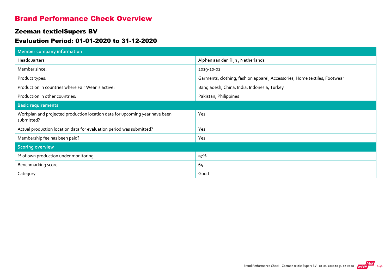#### Brand Performance Check Overview

#### Zeeman textielSupers BV

#### Evaluation Period: 01-01-2020 to 31-12-2020

| <b>Member company information</b>                                                         |                                                                           |
|-------------------------------------------------------------------------------------------|---------------------------------------------------------------------------|
| Headquarters:                                                                             | Alphen aan den Rijn, Netherlands                                          |
| Member since:                                                                             | 2019-10-01                                                                |
| Product types:                                                                            | Garments, clothing, fashion apparel, Accessories, Home textiles, Footwear |
| Production in countries where Fair Wear is active:                                        | Bangladesh, China, India, Indonesia, Turkey                               |
| Production in other countries:                                                            | Pakistan, Philippines                                                     |
| <b>Basic requirements</b>                                                                 |                                                                           |
| Workplan and projected production location data for upcoming year have been<br>submitted? | Yes                                                                       |
| Actual production location data for evaluation period was submitted?                      | Yes                                                                       |
| Membership fee has been paid?                                                             | Yes                                                                       |
| <b>Scoring overview</b>                                                                   |                                                                           |
| % of own production under monitoring                                                      | 97%                                                                       |
| Benchmarking score                                                                        | 65                                                                        |
| Category                                                                                  | Good                                                                      |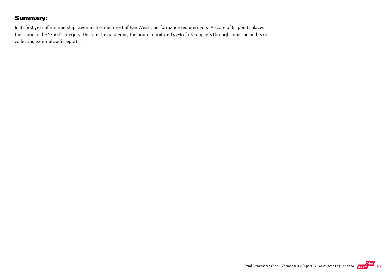### Summary:

In its first year of membership, Zeeman has met most of Fair Wear's performance requirements. A score of 65 points places the brand in the 'Good' category. Despite the pandemic, the brand monitored 97% of its suppliers through initiating audits or collecting external audit reports.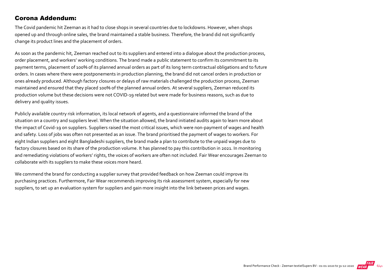#### Corona Addendum:

The Covid pandemic hit Zeeman as it had to close shops in several countries due to lockdowns. However, when shops opened up and through online sales, the brand maintained a stable business. Therefore, the brand did not significantly change its product lines and the placement of orders.

As soon as the pandemic hit, Zeeman reached out to its suppliers and entered into a dialogue about the production process, order placement, and workers' working conditions. The brand made a public statement to confirm its commitment to its payment terms, placement of 100% of its planned annual orders as part of its long term contractual obligations and to future orders. In cases where there were postponements in production planning, the brand did not cancel orders in production or ones already produced. Although factory closures or delays of raw materials challenged the production process, Zeeman maintained and ensured that they placed 100% of the planned annual orders. At several suppliers, Zeeman reduced its production volume but these decisions were not COVID‐19 related but were made for business reasons, such as due to delivery and quality issues.

Publicly available country risk information, its local network of agents, and a questionnaire informed the brand of the situation on a country and suppliers level. When the situation allowed, the brand initiated audits again to learn more about the impact of Covid‐19 on suppliers. Suppliers raised the most critical issues, which were non‐payment of wages and health and safety. Loss of jobs was often not presented as an issue. The brand prioritised the payment of wages to workers. For eight Indian suppliers and eight Bangladeshi suppliers, the brand made a plan to contribute to the unpaid wages due to factory closures based on its share of the production volume. It has planned to pay this contribution in 2021. In monitoring and remediating violations of workers' rights, the voices of workers are often not included. Fair Wear encourages Zeeman to collaborate with its suppliers to make these voices more heard.

We commend the brand for conducting a supplier survey that provided feedback on how Zeeman could improve its purchasing practices. Furthermore, Fair Wear recommends improving its risk assessment system, especially for new suppliers, to set up an evaluation system for suppliers and gain more insight into the link between prices and wages.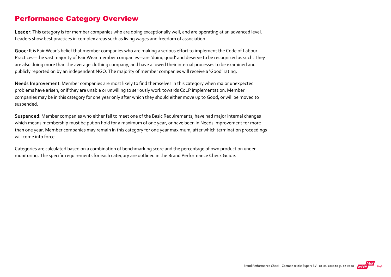### Performance Category Overview

Leader: This category is for member companies who are doing exceptionally well, and are operating at an advanced level. Leaders show best practices in complex areas such as living wages and freedom of association.

Good: It is Fair Wear's belief that member companies who are making a serious effort to implement the Code of Labour Practices—the vast majority of Fair Wear member companies—are 'doing good' and deserve to be recognized as such. They are also doing more than the average clothing company, and have allowed their internal processes to be examined and publicly reported on by an independent NGO. The majority of member companies will receive a 'Good' rating.

Needs Improvement: Member companies are most likely to find themselves in this category when major unexpected problems have arisen, or if they are unable or unwilling to seriously work towards CoLP implementation. Member companies may be in this category for one year only after which they should either move up to Good, or will be moved to suspended.

Suspended: Member companies who either fail to meet one of the Basic Requirements, have had major internal changes which means membership must be put on hold for a maximum of one year, or have been in Needs Improvement for more than one year. Member companies may remain in this category for one year maximum, after which termination proceedings will come into force.

Categories are calculated based on a combination of benchmarking score and the percentage of own production under monitoring. The specific requirements for each category are outlined in the Brand Performance Check Guide.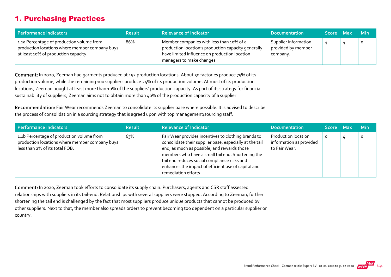# 1. Purchasing Practices

| Performance indicators                                                                                                              | <b>Result</b> | <b>Relevance of Indicator</b>                                                                                                                                                 | <b>Documentation</b>                                   | Score Max | <b>Min</b> |
|-------------------------------------------------------------------------------------------------------------------------------------|---------------|-------------------------------------------------------------------------------------------------------------------------------------------------------------------------------|--------------------------------------------------------|-----------|------------|
| 1.1a Percentage of production volume from<br>production locations where member company buys<br>at least 10% of production capacity. | 86%           | Member companies with less than 10% of a<br>production location's production capacity generally<br>have limited influence on production location<br>managers to make changes. | Supplier information<br>provided by member<br>company. | 4         | $\circ$    |

Comment: In 2020, Zeeman had garments produced at 152 production locations. About 50 factories produce 75% of its production volume, while the remaining 100 suppliers produce 25% of its production volume. At most of its production locations, Zeeman bought at least more than 10% of the suppliers' production capacity. As part of its strategy for financial sustainability of suppliers, Zeeman aims not to obtain more than 40% of the production capacity of a supplier.

Recommendation: Fair Wear recommends Zeeman to consolidate its supplier base where possible. It is advised to describe the process of consolidation in a sourcing strategy that is agreed upon with top management/sourcing staff.

| Performance indicators                                                                                                        | <b>Result</b> | <b>Relevance of Indicator</b>                                                                                                                                                                                                                                                                                                                     | <b>Documentation</b>                                                   | <b>Score</b> | <b>Max</b> | <b>Min</b> |
|-------------------------------------------------------------------------------------------------------------------------------|---------------|---------------------------------------------------------------------------------------------------------------------------------------------------------------------------------------------------------------------------------------------------------------------------------------------------------------------------------------------------|------------------------------------------------------------------------|--------------|------------|------------|
| 1.1b Percentage of production volume from<br>production locations where member company buys<br>less than 2% of its total FOB. | 63%           | Fair Wear provides incentives to clothing brands to<br>consolidate their supplier base, especially at the tail<br>end, as much as possible, and rewards those<br>members who have a small tail end. Shortening the<br>tail end reduces social compliance risks and<br>enhances the impact of efficient use of capital and<br>remediation efforts. | <b>Production location</b><br>information as provided<br>to Fair Wear. | 0            |            |            |

Comment: In 2020, Zeeman took efforts to consolidate its supply chain. Purchasers, agents and CSR staff assessed relationships with suppliers in its tail‐end. Relationships with several suppliers were stopped. According to Zeeman, further shortening the tail end is challenged by the fact that most suppliers produce unique products that cannot be produced by other suppliers. Next to that, the member also spreads orders to prevent becoming too dependent on a particular supplier or country.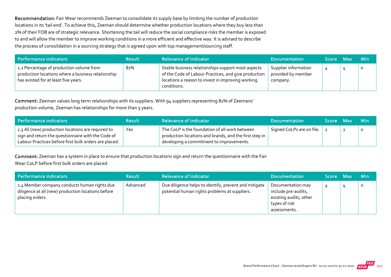Recommendation: Fair Wear recommends Zeeman to consolidate its supply base by limiting the number of production locations in its 'tail end'. To achieve this, Zeeman should determine whether production locations where they buy less than 2% of their FOB are of strategic relevance. Shortening the tail will reduce the social compliance risks the member is exposed to and will allow the member to improve working conditions in a more efficient and effective way. It is advised to describe the process of consolidation in a sourcing strategy that is agreed upon with top management/sourcing staff.

| Performance indicators                                                                                                                 | <b>Result</b> | <b>Relevance of Indicator</b>                                                                                                                                                  | <b>Documentation</b>                                   | Score Max | <b>Min</b> |
|----------------------------------------------------------------------------------------------------------------------------------------|---------------|--------------------------------------------------------------------------------------------------------------------------------------------------------------------------------|--------------------------------------------------------|-----------|------------|
| 1.2 Percentage of production volume from<br>production locations where a business relationship<br>has existed for at least five years. | 81%           | Stable business relationships support most aspects<br>of the Code of Labour Practices, and give production<br>locations a reason to invest in improving working<br>conditions. | Supplier information<br>provided by member<br>company. |           | $\circ$    |

Comment: Zeeman values long term relationships with its suppliers. With 94 suppliers representing 81% of Zeemans' production volume, Zeeman has relationships for more than 5 years.

| Performance indicators                                                                                                                                            | <b>Result</b> | <b>Relevance of Indicator</b>                                                                                                                        | <b>Documentation</b>      | Score Max | -Min |
|-------------------------------------------------------------------------------------------------------------------------------------------------------------------|---------------|------------------------------------------------------------------------------------------------------------------------------------------------------|---------------------------|-----------|------|
| 1.3 All (new) production locations are required to<br>sign and return the questionnaire with the Code of<br>Labour Practices before first bulk orders are placed. | Yes           | The CoLP is the foundation of all work between<br>production locations and brands, and the first step in<br>developing a commitment to improvements. | Signed CoLPs are on file. |           |      |

Comment: Zeeman has a system in place to ensure that production locations sign and return the questionnaire with the Fair Wear CoLP before first bulk orders are placed.

| Performance indicators                                                                                                | <b>Result</b> | <b>Relevance of Indicator</b>                                                                          | <b>Documentation</b>                                                                                | Score Max | <b>Min</b> |
|-----------------------------------------------------------------------------------------------------------------------|---------------|--------------------------------------------------------------------------------------------------------|-----------------------------------------------------------------------------------------------------|-----------|------------|
| 1.4 Member company conducts human rights due<br>diligence at all (new) production locations before<br>placing orders. | Advanced      | Due diligence helps to identify, prevent and mitigate<br>potential human rights problems at suppliers. | Documentation may<br>include pre-audits,<br>existing audits, other<br>types of risk<br>assessments. |           | $\circ$    |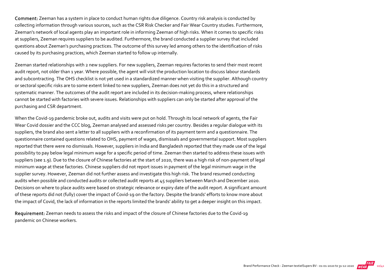Comment: Zeeman has a system in place to conduct human rights due diligence. Country risk analysis is conducted by collecting information through various sources, such as the CSR Risk Checker and Fair Wear Country studies. Furthermore, Zeeman's network of local agents play an important role in informing Zeeman of high risks. When it comes to specific risks at suppliers, Zeeman requires suppliers to be audited. Furthermore, the brand conducted a supplier survey that included questions about Zeeman's purchasing practices. The outcome of this survey led among others to the identification of risks caused by its purchasing practices, which Zeeman started to follow up internally.

Zeeman started relationships with 2 new suppliers. For new suppliers, Zeeman requires factories to send their most recent audit report, not older than 1 year. Where possible, the agent will visit the production location to discuss labour standards and subcontracting. The OHS checklist is not yet used in a standardized manner when visiting the supplier. Although country or sectoral specific risks are to some extent linked to new suppliers, Zeeman does not yet do this in a structured and systematic manner. The outcomes of the audit report are included in its decision-making process, where relationships cannot be started with factories with severe issues. Relationships with suppliers can only be started after approval of the purchasing and CSR department.

When the Covid-19 pandemic broke out, audits and visits were put on hold. Through its local network of agents, the Fair Wear Covid dossier and the CCC blog, Zeeman analysed and assessed risks per country. Besides a regular dialogue with its suppliers, the brand also sent a letter to all suppliers with a reconfirmation of its payment term and a questionnaire. The questionnaire contained questions related to OHS, payment of wages, dismissals and governmental support. Most suppliers reported that there were no dismissals. However, suppliers in India and Bangladesh reported that they made use of the legal possibility to pay below legal minimum wage for a specific period of time. Zeeman then started to address these issues with suppliers (see 1.9). Due to the closure of Chinese factories at the start of 2020, there was a high risk of non-payment of legal minimum wage at these factories. Chinese suppliers did not report issues in payment of the legal minimum wage in the supplier survey. However, Zeeman did not further assess and investigate this high risk. The brand resumed conducting audits when possible and conducted audits or collected audit reports at 45 suppliers between March and December 2020. Decisions on where to place audits were based on strategic relevance or expiry date of the audit report. A significant amount of these reports did not (fully) cover the impact of Covid‐19 on the factory. Despite the brands' efforts to know more about the impact of Covid, the lack of information in the reports limited the brands' ability to get a deeper insight on this impact.

Requirement: Zeeman needs to assess the risks and impact of the closure of Chinese factories due to the Covid‐19 pandemic on Chinese workers.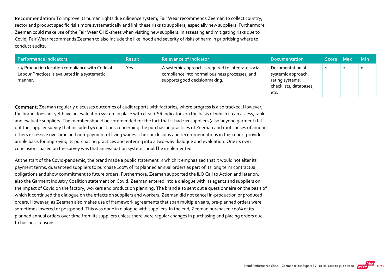Recommendation: To improve its human rights due diligence system, Fair Wear recommends Zeeman to collect country, sector and product specific risks more systematically and link these risks to suppliers, especially new suppliers. Furthermore, Zeeman could make use of the Fair Wear OHS‐sheet when visiting new suppliers. In assessing and mitigating risks due to Covid, Fair Wear recommends Zeeman to also include the likelihood and severity of risks of harm in prioritising where to conduct audits.

| Performance indicators                                                                                      | <b>Result</b> | <b>Relevance of Indicator</b>                                                                                                          | <b>Documentation</b>                                                                        | Score Max | <b>Min</b> |
|-------------------------------------------------------------------------------------------------------------|---------------|----------------------------------------------------------------------------------------------------------------------------------------|---------------------------------------------------------------------------------------------|-----------|------------|
| 1.5 Production location compliance with Code of<br>Labour Practices is evaluated in a systematic<br>manner. | Yes           | A systemic approach is required to integrate social<br>compliance into normal business processes, and<br>supports good decisionmaking. | Documentation of<br>systemic approach:<br>rating systems,<br>checklists, databases,<br>etc. |           | $\circ$    |

Comment: Zeeman regularly discusses outcomes of audit reports with factories, where progress is also tracked. However, the brand does not yet have an evaluation system in place with clear CSR indicators on the basis of which it can assess, rank and evaluate suppliers. The member should be commended for the fact that it had 171 suppliers (also beyond garment) fill out the supplier survey that included 56 questions concerning the purchasing practices of Zeeman and root causes of among others excessive overtime and non‐payment of living wages. The conclusions and recommendations in this report provide ample basis for improving its purchasing practices and entering into a two-way dialogue and evaluation. One its own conclusions based on the survey was that an evaluation system should be implemented.

At the start of the Covid‐pandemic, the brand made a public statement in which it emphasized that it would not alter its payment terms, guaranteed suppliers to purchase 100% of its planned annual orders as part of its long term contractual obligations and show commitment to future orders. Furthermore, Zeeman supported the ILO Call to Action and later on, also the Garment Industry Coalition statement on Covid. Zeeman entered into a dialogue with its agents and suppliers on the impact of Covid on the factory, workers and production planning. The brand also sent out a questionnaire on the basis of which it continued the dialogue on the effects on suppliers and workers. Zeeman did not cancel in‐production or produced orders. However, as Zeeman also makes use of framework agreements that span multiple years, pre‐planned orders were sometimes lowered or postponed. This was done in dialogue with suppliers. In the end, Zeeman purchased 100% of its planned annual orders over time from its suppliers unless there were regular changes in purchasing and placing orders due to business reasons.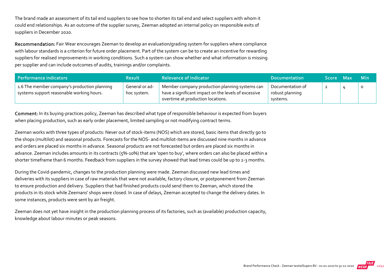The brand made an assessment of its tail end suppliers to see how to shorten its tail end and select suppliers with whom it could end relationships. As an outcome of the supplier survey, Zeeman adopted an internal policy on responsible exits of suppliers in December 2020.

Recommendation: Fair Wear encourages Zeeman to develop an evaluation/grading system for suppliers where compliance with labour standards is a criterion for future order placement. Part of the system can be to create an incentive for rewarding suppliers for realised improvements in working conditions. Such a system can show whether and what information is missing per supplier and can include outcomes of audits, trainings and/or complaints.

| Performance indicators                                                                    | <b>Result</b>                 | <b>Relevance of Indicator</b>                                                                                                               | <b>Documentation</b>                            | Score Max | <b>Min</b> |
|-------------------------------------------------------------------------------------------|-------------------------------|---------------------------------------------------------------------------------------------------------------------------------------------|-------------------------------------------------|-----------|------------|
| 1.6 The member company's production planning<br>systems support reasonable working hours. | General or ad-<br>hoc system. | Member company production planning systems can<br>have a significant impact on the levels of excessive<br>overtime at production locations. | Documentation of<br>robust planning<br>systems. |           | $\circ$    |

Comment: In its buying-practices policy, Zeeman has described what type of responsible behaviour is expected from buyers when placing production, such as early order placement, limited sampling or not modifying contract terms.

Zeeman works with three types of products: Never out of stock‐items (NOS) which are stored, basic items that directly go to the shops (multilot) and seasonal products. Forecasts for the NOS‐ and multilot‐items are discussed nine months in advance and orders are placed six months in advance. Seasonal products are not forecasted but orders are placed six months in advance. Zeeman includes amounts in its contracts (5%‐10%) that are 'open to buy', where orders can also be placed within a shorter timeframe than 6 months. Feedback from suppliers in the survey showed that lead times could be up to 2-3 months.

During the Covid‐pandemic, changes to the production planning were made. Zeeman discussed new lead times and deliveries with its suppliers in case of raw materials that were not available, factory closure, or postponement from Zeeman to ensure production and delivery. Suppliers that had finished products could send them to Zeeman, which stored the products in its stock while Zeemans' shops were closed. In case of delays, Zeeman accepted to change the delivery dates. In some instances, products were sent by air freight.

Zeeman does not yet have insight in the production planning process of its factories, such as (available) production capacity, knowledge about labour minutes or peak seasons.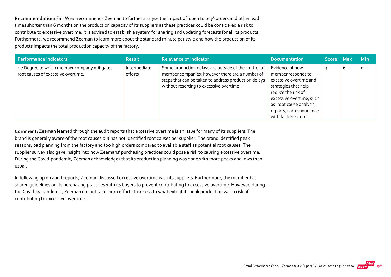Recommendation: Fair Wear recommends Zeeman to further analyse the impact of 'open to buy'-orders and other lead times shorter than 6 months on the production capacity of its suppliers as these practices could be considered a risk to contribute to excessive overtime. It is advised to establish a system for sharing and updating forecasts for all its products. Furthermore, we recommend Zeeman to learn more about the standard minute per style and how the production of its products impacts the total production capacity of the factory.

| Performance indicators                                                             | <b>Result</b>           | <b>Relevance of Indicator</b>                                                                                                                                                                               | <b>Documentation</b>                                                                                                                                                                                                     | <b>Score</b> | <b>Max</b> | <b>Min</b> |
|------------------------------------------------------------------------------------|-------------------------|-------------------------------------------------------------------------------------------------------------------------------------------------------------------------------------------------------------|--------------------------------------------------------------------------------------------------------------------------------------------------------------------------------------------------------------------------|--------------|------------|------------|
| 1.7 Degree to which member company mitigates<br>root causes of excessive overtime. | Intermediate<br>efforts | Some production delays are outside of the control of<br>member companies; however there are a number of<br>steps that can be taken to address production delays<br>without resorting to excessive overtime. | Evidence of how<br>member responds to<br>excessive overtime and<br>strategies that help<br>reduce the risk of<br>excessive overtime, such<br>as: root cause analysis,<br>reports, correspondence<br>with factories, etc. |              | ь          | $\circ$    |

Comment: Zeeman learned through the audit reports that excessive overtime is an issue for many of its suppliers. The brand is generally aware of the root causes but has not identified root causes per supplier. The brand identified peak seasons, bad planning from the factory and too high orders compared to available staff as potential root causes. The supplier survey also gave insight into how Zeemans' purchasing practices could pose a risk to causing excessive overtime. During the Covid‐pandemic, Zeeman acknowledges that its production planning was done with more peaks and lows than usual.

In following up on audit reports, Zeeman discussed excessive overtime with its suppliers. Furthermore, the member has shared guidelines on its purchasing practices with its buyers to prevent contributing to excessive overtime. However, during the Covid‐19 pandemic, Zeeman did not take extra efforts to assess to what extent its peak production was a risk of contributing to excessive overtime.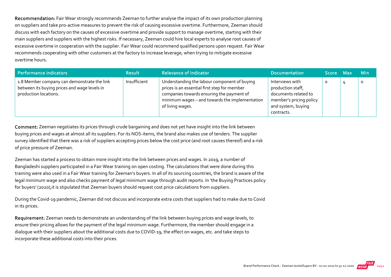Recommendation: Fair Wear strongly recommends Zeeman to further analyse the impact of its own production planning on suppliers and take pro‐active measures to prevent the risk of causing excessive overtime. Furthermore, Zeeman should discuss with each factory on the causes of excessive overtime and provide support to manage overtime, starting with their main suppliers and suppliers with the highest risks. If necessary, Zeeman could hire local experts to analyse root causes of excessive overtime in cooperation with the supplier. Fair Wear could recommend qualified persons upon request. Fair Wear recommends cooperating with other customers at the factory to increase leverage, when trying to mitigate excessive overtime hours.

| Performance indicators                                                                                               | <b>Result</b> | <b>Relevance of Indicator</b>                                                                                                                                                                                   | <b>Documentation</b>                                                                                                        | Score Max | <b>Min</b> |
|----------------------------------------------------------------------------------------------------------------------|---------------|-----------------------------------------------------------------------------------------------------------------------------------------------------------------------------------------------------------------|-----------------------------------------------------------------------------------------------------------------------------|-----------|------------|
| 1.8 Member company can demonstrate the link<br>between its buying prices and wage levels in<br>production locations. | Insufficient  | Understanding the labour component of buying<br>prices is an essential first step for member<br>companies towards ensuring the payment of<br>minimum wages - and towards the implementation<br>of living wages. | Interviews with<br>production staff,<br>documents related to<br>member's pricing policy<br>and system, buying<br>contracts. |           | $\circ$    |

Comment: Zeeman negotiates its prices through crude bargaining and does not yet have insight into the link between buying prices and wages at almost all its suppliers. For its NOS‐items, the brand also makes use of tenders. The supplier survey identified that there was a risk of suppliers accepting prices below the cost price (and root causes thereof) and a risk of price pressure of Zeeman.

Zeeman has started a process to obtain more insight into the link between prices and wages. In 2019, a number of Bangladeshi suppliers participated in a Fair Wear training on open costing. The calculations that were done during this training were also used in a Fair Wear training for Zeeman's buyers. In all of its sourcing countries, the brand is aware of the legal minimum wage and also checks payment of legal minimum wage through audit reports. In 'the Buying Practices policy for buyers' (2020), it is stipulated that Zeeman buyers should request cost price calculations from suppliers.

During the Covid‐19 pandemic, Zeeman did not discuss and incorporate extra costs that suppliers had to make due to Covid in its prices.

Requirement: Zeeman needs to demonstrate an understanding of the link between buying prices and wage levels, to ensure their pricing allows for the payment of the legal minimum wage. Furthermore, the member should engage in a dialogue with their suppliers about the additional costs due to COVID‐19, the effect on wages, etc. and take steps to incorporate these additional costs into their prices.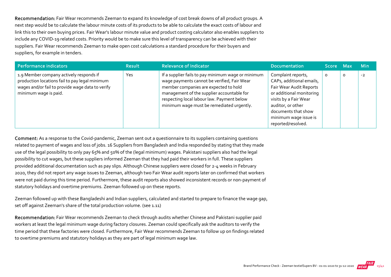Recommendation: Fair Wear recommends Zeeman to expand its knowledge of cost break downs of all product groups. A next step would be to calculate the labour minute costs of its products to be able to calculate the exact costs of labour and link this to their own buying prices. Fair Wear's labour minute value and product costing calculator also enables suppliers to include any COVID‐19 related costs. Priority would be to make sure this level of transparency can be achieved with their suppliers. Fair Wear recommends Zeeman to make open cost calculations a standard procedure for their buyers and suppliers, for example in tenders.

| Performance indicators                                                                                                                                                 | <b>Result</b> | <b>Relevance of Indicator</b>                                                                                                                                                                                                                                                       | <b>Documentation</b>                                                                                                                                                                                                      | Score Max |         | <b>Min</b> |
|------------------------------------------------------------------------------------------------------------------------------------------------------------------------|---------------|-------------------------------------------------------------------------------------------------------------------------------------------------------------------------------------------------------------------------------------------------------------------------------------|---------------------------------------------------------------------------------------------------------------------------------------------------------------------------------------------------------------------------|-----------|---------|------------|
| 1.9 Member company actively responds if<br>production locations fail to pay legal minimum<br>wages and/or fail to provide wage data to verify<br>minimum wage is paid. | <b>Yes</b>    | If a supplier fails to pay minimum wage or minimum<br>wage payments cannot be verified, Fair Wear<br>member companies are expected to hold<br>management of the supplier accountable for<br>respecting local labour law. Payment below<br>minimum wage must be remediated urgently. | Complaint reports,<br>CAPs, additional emails,<br>Fair Wear Audit Reports<br>or additional monitoring<br>visits by a Fair Wear<br>auditor, or other<br>documents that show<br>minimum wage issue is<br>reported/resolved. | 0         | $\circ$ | $-2$       |

Comment: As a response to the Covid‐pandemic, Zeeman sent out a questionnaire to its suppliers containing questions related to payment of wages and loss of jobs. 16 Suppliers from Bangladesh and India responded by stating that they made use of the legal possibility to only pay 65% and 50% of the (legal minimum) wages. Pakistani suppliers also had the legal possibility to cut wages, but these suppliers informed Zeeman that they had paid their workers in full. These suppliers provided additional documentation such as pay slips. Although Chinese suppliers were closed for 2‐4 weeks in February 2020, they did not report any wage issues to Zeeman, although two Fair Wear audit reports later on confirmed that workers were not paid during this time period. Furthermore, these audit reports also showed inconsistent records or non‐payment of statutory holidays and overtime premiums. Zeeman followed up on these reports.

Zeeman followed up with these Bangladeshi and Indian suppliers, calculated and started to prepare to finance the wage gap, set off against Zeeman's share of the total production volume. (see 1.11)

Recommendation: Fair Wear recommends Zeeman to check through audits whether Chinese and Pakistani supplier paid workers at least the legal minimum wage during factory closures. Zeeman could specifically ask the auditors to verify the time period that these factories were closed. Furthermore, Fair Wear recommends Zeeman to follow up on findings related to overtime premiums and statutory holidays as they are part of legal minimum wage law.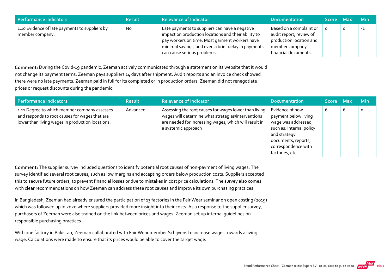| Performance indicators                                            | <b>Result</b> | <b>Relevance of Indicator</b>                                                                                                                                                                                                                 | <b>Documentation</b>                                                                                                    | Score Max |   | – Min |
|-------------------------------------------------------------------|---------------|-----------------------------------------------------------------------------------------------------------------------------------------------------------------------------------------------------------------------------------------------|-------------------------------------------------------------------------------------------------------------------------|-----------|---|-------|
| 1.10 Evidence of late payments to suppliers by<br>member company. | <b>No</b>     | Late payments to suppliers can have a negative<br>impact on production locations and their ability to<br>pay workers on time. Most garment workers have<br>minimal savings, and even a brief delay in payments<br>can cause serious problems. | Based on a complaint or<br>audit report; review of<br>production location and<br>member company<br>financial documents. |           | O | -1    |

Comment: During the Covid‐19 pandemic, Zeeman actively communicated through a statement on its website that it would not change its payment terms. Zeeman pays suppliers 14 days after shipment. Audit reports and an invoice check showed there were no late payments. Zeeman paid in full for its completed or in production orders. Zeeman did not renegotiate prices or request discounts during the pandemic.

| Performance indicators                                                                                                                             | <b>Result</b> | <b>Relevance of Indicator</b>                                                                                                                                                               | <b>Documentation</b>                                                                                                                                                       | Score Max |   | <b>Min</b> |
|----------------------------------------------------------------------------------------------------------------------------------------------------|---------------|---------------------------------------------------------------------------------------------------------------------------------------------------------------------------------------------|----------------------------------------------------------------------------------------------------------------------------------------------------------------------------|-----------|---|------------|
| 1.11 Degree to which member company assesses<br>and responds to root causes for wages that are<br>lower than living wages in production locations. | Advanced      | Assessing the root causes for wages lower than living<br>wages will determine what strategies/interventions<br>are needed for increasing wages, which will result in<br>a systemic approach | Evidence of how<br>payment below living<br>wage was addressed,<br>such as: Internal policy<br>and strategy<br>documents, reports,<br>correspondence with<br>factories, etc |           | b | $\circ$    |

Comment: The supplier survey included questions to identify potential root causes of non-payment of living wages. The survey identified several root causes, such as low margins and accepting orders below production costs. Suppliers accepted this to secure future orders, to prevent financial losses or due to mistakes in cost price calculations. The survey also comes with clear recommendations on how Zeeman can address these root causes and improve its own purchasing practices.

In Bangladesh, Zeeman had already ensured the participation of 13 factories in the Fair Wear seminar on open costing (2019) which was followed up in 2020 where suppliers provided more insight into their costs. As a response to the supplier survey, purchasers of Zeeman were also trained on the link between prices and wages. Zeeman set up internal guidelines on responsible purchasing practices.

With one factory in Pakistan, Zeeman collaborated with Fair Wear member Schijvens to increase wages towards a living wage. Calculations were made to ensure that its prices would be able to cover the target wage.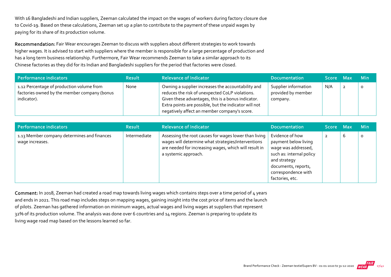With 16 Bangladeshi and Indian suppliers, Zeeman calculated the impact on the wages of workers during factory closure due to Covid‐19. Based on these calculations, Zeeman set up a plan to contribute to the payment of these unpaid wages by paying for its share of its production volume.

Recommendation: Fair Wear encourages Zeeman to discuss with suppliers about different strategies to work towards higher wages. It is advised to start with suppliers where the member is responsible for a large percentage of production and has a long term business relationship. Furthermore, Fair Wear recommends Zeeman to take a similar approach to its Chinese factories as they did for its Indian and Bangladeshi suppliers for the period that factories were closed.

| Performance indicators                                                                                   | <b>Result</b> | <b>Relevance of Indicator</b>                                                                                                                                                                                                                                        | <b>Documentation</b>                                   | Score Max |                | <b>Min</b> |
|----------------------------------------------------------------------------------------------------------|---------------|----------------------------------------------------------------------------------------------------------------------------------------------------------------------------------------------------------------------------------------------------------------------|--------------------------------------------------------|-----------|----------------|------------|
| 1.12 Percentage of production volume from<br>factories owned by the member company (bonus<br>indicator). | None          | Owning a supplier increases the accountability and<br>reduces the risk of unexpected CoLP violations.<br>Given these advantages, this is a bonus indicator.<br>Extra points are possible, but the indicator will not<br>negatively affect an member company's score. | Supplier information<br>provided by member<br>company. | N/A       | $\overline{2}$ |            |

| <b>Performance indicators</b>                                  | <b>Result</b> | <b>Relevance of Indicator</b>                                                                                                                                                                | <b>Documentation</b>                                                                                                                                                        | Score Max |   | <b>Min</b> |
|----------------------------------------------------------------|---------------|----------------------------------------------------------------------------------------------------------------------------------------------------------------------------------------------|-----------------------------------------------------------------------------------------------------------------------------------------------------------------------------|-----------|---|------------|
| 1.13 Member company determines and finances<br>wage increases. | Intermediate  | Assessing the root causes for wages lower than living<br>wages will determine what strategies/interventions<br>are needed for increasing wages, which will result in<br>a systemic approach. | Evidence of how<br>payment below living<br>wage was addressed,<br>such as: internal policy<br>and strategy<br>documents, reports,<br>correspondence with<br>factories, etc. | 2         | 6 | 0          |

Comment: In 2018, Zeeman had created a road map towards living wages which contains steps over a time period of 4 years and ends in 2021. This road map includes steps on mapping wages, gaining insight into the cost price of items and the launch of pilots. Zeeman has gathered information on minimum wages, actual wages and living wages at suppliers that represent 32% of its production volume. The analysis was done over 6 countries and 14 regions. Zeeman is preparing to update its living wage road map based on the lessons learned so far.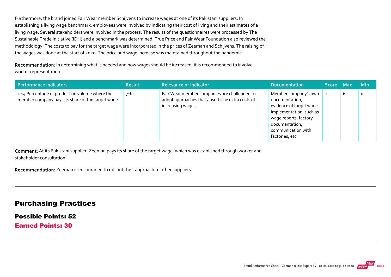Furthermore, the brand joined Fair Wear member Schijvens to increase wages at one of its Pakistani suppliers. In establishing a living wage benchmark, employees were involved by indicating their cost of living and their estimates of a living wage. Several stakeholders were involved in the process. The results of the questionnaires were processed by The Sustainable Trade Initiative (IDH) and a benchmark was determined. True Price and Fair Wear Foundation also reviewed the methodology. The costs to pay for the target wage were incorporated in the prices of Zeeman and Schijvens. The raising of the wages was done at the start of 2020. The price and wage increase was maintained throughout the pandemic.

Recommendation: In determining what is needed and how wages should be increased, it is recommended to involve worker representation.

| Performance indicators                                                                              | <b>Result</b> | <b>Relevance of Indicator</b>                                                                                        | <b>Documentation</b>                                                                                                                                                             | Score Max |   | <b>Min</b> |
|-----------------------------------------------------------------------------------------------------|---------------|----------------------------------------------------------------------------------------------------------------------|----------------------------------------------------------------------------------------------------------------------------------------------------------------------------------|-----------|---|------------|
| 1.14 Percentage of production volume where the<br>member company pays its share of the target wage. | 7%            | Fair Wear member companies are challenged to<br>adopt approaches that absorb the extra costs of<br>increasing wages. | Member company's own<br>documentation,<br>evidence of target wage<br>implementation, such as<br>wage reports, factory<br>documentation,<br>communication with<br>factories, etc. |           | 6 | 0          |

Comment: At its Pakistani supplier, Zeeman pays its share of the target wage, which was established through worker and stakeholder consultation.

Recommendation: Zeeman is encouraged to roll out their approach to other suppliers.

#### Purchasing Practices

Possible Points: 52

Earned Points: 30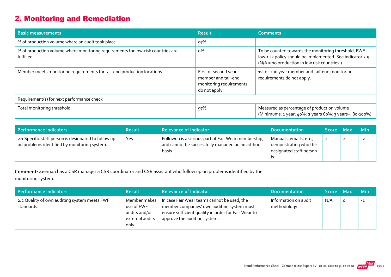# 2. Monitoring and Remediation

| <b>Basic measurements</b>                                                                     | <b>Result</b>                                                                          | <b>Comments</b>                                                                                                                                                  |
|-----------------------------------------------------------------------------------------------|----------------------------------------------------------------------------------------|------------------------------------------------------------------------------------------------------------------------------------------------------------------|
| % of production volume where an audit took place.                                             | 97%                                                                                    |                                                                                                                                                                  |
| % of production volume where monitoring requirements for low-risk countries are<br>fulfilled. | о%                                                                                     | To be counted towards the monitoring threshold, FWF<br>low-risk policy should be implemented. See indicator 2.9.<br>(N/A = no production in low risk countries.) |
| Member meets monitoring requirements for tail-end production locations.                       | First or second year<br>member and tail-end<br>monitoring requirements<br>do not apply | 1st or 2nd year member and tail-end monitoring<br>requirements do not apply.                                                                                     |
| Requirement(s) for next performance check                                                     |                                                                                        |                                                                                                                                                                  |
| Total monitoring threshold:                                                                   | 97%                                                                                    | Measured as percentage of production volume<br>(Minimums: 1 year: 40%; 2 years 60%; 3 years+: 80-100%)                                                           |

| Performance indicators                                                                               | <b>Result</b> | <b>Relevance of Indicator</b>                                                                                    | <b>Documentation</b>                                                              | Score Max |                | <b>Min</b> |
|------------------------------------------------------------------------------------------------------|---------------|------------------------------------------------------------------------------------------------------------------|-----------------------------------------------------------------------------------|-----------|----------------|------------|
| 2.1 Specific staff person is designated to follow up<br>on problems identified by monitoring system. | Yes           | Followup is a serious part of Fair Wear membership,<br>and cannot be successfully managed on an ad-hoc<br>basis. | Manuals, emails, etc.,<br>demonstrating who the<br>designated staff person<br>גו. |           | $\overline{2}$ | $-2$       |

Comment: Zeeman has a CSR manager a CSR coordinator and CSR assistant who follow up on problems identified by the monitoring system.

| Performance indicators                                     | <b>Result</b>                                                          | <b>Relevance of Indicator</b>                                                                                                                                                    | <b>Documentation</b>                 | Score Max |         | <b>Min</b> |
|------------------------------------------------------------|------------------------------------------------------------------------|----------------------------------------------------------------------------------------------------------------------------------------------------------------------------------|--------------------------------------|-----------|---------|------------|
| 2.2 Quality of own auditing system meets FWF<br>standards. | Member makes<br>use of FWF<br>audits and/or<br>external audits<br>only | In case Fair Wear teams cannot be used, the<br>member companies' own auditing system must<br>ensure sufficient quality in order for Fair Wear to<br>approve the auditing system. | Information on audit<br>methodology. | N/A       | $\circ$ | $-1$       |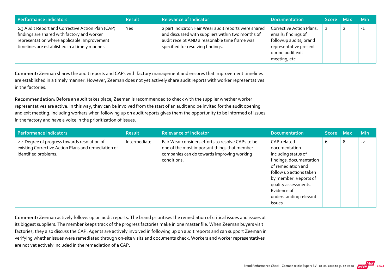| Performance indicators                                                                                                                                                                            | <b>Result</b> | <b>Relevance of Indicator</b>                                                                                                                                                                    | <b>Documentation</b>                                                                                                                      | Score Max | <b>Min</b> |
|---------------------------------------------------------------------------------------------------------------------------------------------------------------------------------------------------|---------------|--------------------------------------------------------------------------------------------------------------------------------------------------------------------------------------------------|-------------------------------------------------------------------------------------------------------------------------------------------|-----------|------------|
| 2.3 Audit Report and Corrective Action Plan (CAP)<br>findings are shared with factory and worker<br>representation where applicable. Improvement<br>timelines are established in a timely manner. | Yes           | 2 part indicator: Fair Wear audit reports were shared<br>and discussed with suppliers within two months of<br>audit receipt AND a reasonable time frame was<br>specified for resolving findings. | Corrective Action Plans,<br>emails; findings of<br>followup audits; brand<br>representative present<br>during audit exit<br>meeting, etc. |           | $-1$       |

Comment: Zeeman shares the audit reports and CAPs with factory management and ensures that improvement timelines are established in a timely manner. However, Zeeman does not yet actively share audit reports with worker representatives in the factories.

Recommendation: Before an audit takes place, Zeeman is recommended to check with the supplier whether worker representatives are active. In this way, they can be involved from the start of an audit and be invited for the audit opening and exit meeting. Including workers when following up on audit reports gives them the opportunity to be informed of issues in the factory and have a voice in the prioritization of issues.

| Performance indicators                                                                                                      | <b>Result</b> | <b>Relevance of Indicator</b>                                                                                                                                  | <b>Documentation</b>                                                                                                                                                                                                                 | Score Max |   | <b>Min</b> |
|-----------------------------------------------------------------------------------------------------------------------------|---------------|----------------------------------------------------------------------------------------------------------------------------------------------------------------|--------------------------------------------------------------------------------------------------------------------------------------------------------------------------------------------------------------------------------------|-----------|---|------------|
| 2.4 Degree of progress towards resolution of<br>existing Corrective Action Plans and remediation of<br>identified problems. | Intermediate  | Fair Wear considers efforts to resolve CAPs to be<br>one of the most important things that member<br>companies can do towards improving working<br>conditions. | CAP-related<br>documentation<br>including status of<br>findings, documentation<br>of remediation and<br>follow up actions taken<br>by member. Reports of<br>quality assessments.<br>Evidence of<br>understanding relevant<br>issues. | b         | 8 | $-2$       |

Comment: Zeeman actively follows up on audit reports. The brand prioritises the remediation of critical issues and issues at its biggest suppliers. The member keeps track of the progress factories make in one master file. When Zeeman buyers visit factories, they also discuss the CAP. Agents are actively involved in following up on audit reports and can support Zeeman in verifying whether issues were remediated through on‐site visits and documents check. Workers and worker representatives are not yet actively included in the remediation of a CAP.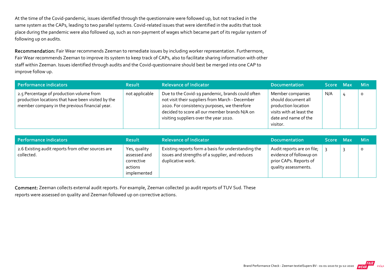At the time of the Covid-pandemic, issues identified through the questionnaire were followed up, but not tracked in the same system as the CAPs, leading to two parallel systems. Covid‐related issues that were identified in the audits that took place during the pandemic were also followed up, such as non‐payment of wages which became part of its regular system of following up on audits.

Recommendation: Fair Wear recommends Zeeman to remediate issues by including worker representation. Furthermore, Fair Wear recommends Zeeman to improve its system to keep track of CAPs, also to facilitate sharing information with other staff within Zeeman. Issues identified through audits and the Covid‐questionnaire should best be merged into one CAP to improve follow up.

| Performance indicators                                                                                                                           | <b>Result</b>  | <b>Relevance of Indicator</b>                                                                                                                                                                                                                  | <b>Documentation</b>                                                                                                           | Score Max | <b>Min</b> |
|--------------------------------------------------------------------------------------------------------------------------------------------------|----------------|------------------------------------------------------------------------------------------------------------------------------------------------------------------------------------------------------------------------------------------------|--------------------------------------------------------------------------------------------------------------------------------|-----------|------------|
| 2.5 Percentage of production volume from<br>production locations that have been visited by the<br>member company in the previous financial year. | not applicable | Due to the Covid-19 pandemic, brands could often<br>not visit their suppliers from March - December<br>2020. For consistency purposes, we therefore<br>decided to score all our member brands N/A on<br>visiting suppliers over the year 2020. | Member companies<br>should document all<br>production location<br>visits with at least the<br>date and name of the<br>visitor. | N/A       | O          |

| Performance indicators                                          | <b>Result</b>                                                        | <b>Relevance of Indicator</b>                                                                                               | <b>Documentation</b>                                                                                    | Score Max | <b>Min</b> |
|-----------------------------------------------------------------|----------------------------------------------------------------------|-----------------------------------------------------------------------------------------------------------------------------|---------------------------------------------------------------------------------------------------------|-----------|------------|
| 2.6 Existing audit reports from other sources are<br>collected. | Yes, quality<br>assessed and<br>corrective<br>actions<br>implemented | Existing reports form a basis for understanding the<br>issues and strengths of a supplier, and reduces<br>duplicative work. | Audit reports are on file;<br>evidence of followup on<br>prior CAPs. Reports of<br>quality assessments. |           | $\circ$    |

Comment: Zeeman collects external audit reports. For example, Zeeman collected 30 audit reports of TUV Sud. These reports were assessed on quality and Zeeman followed up on corrective actions.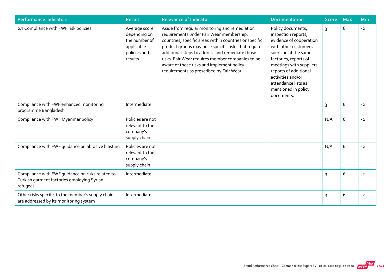| <b>Performance indicators</b>                                                                              | <b>Result</b>                                                                           | <b>Relevance of Indicator</b>                                                                                                                                                                                                                                                                                                                                                                              | <b>Documentation</b>                                                                                                                                                                                                                                                               | <b>Score</b> | <b>Max</b> | Min  |
|------------------------------------------------------------------------------------------------------------|-----------------------------------------------------------------------------------------|------------------------------------------------------------------------------------------------------------------------------------------------------------------------------------------------------------------------------------------------------------------------------------------------------------------------------------------------------------------------------------------------------------|------------------------------------------------------------------------------------------------------------------------------------------------------------------------------------------------------------------------------------------------------------------------------------|--------------|------------|------|
| 2.7 Compliance with FWF risk policies.                                                                     | Average score<br>depending on<br>the number of<br>applicable<br>policies and<br>results | Aside from regular monitoring and remediation<br>requirements under Fair Wear membership,<br>countries, specific areas within countries or specific<br>product groups may pose specific risks that require<br>additional steps to address and remediate those<br>risks. Fair Wear requires member companies to be<br>aware of those risks and implement policy<br>requirements as prescribed by Fair Wear. | Policy documents,<br>inspection reports,<br>evidence of cooperation<br>with other customers<br>sourcing at the same<br>factories, reports of<br>meetings with suppliers,<br>reports of additional<br>activities and/or<br>attendance lists as<br>mentioned in policy<br>documents. | 3            | 6          | $-2$ |
| Compliance with FWF enhanced monitoring<br>programme Bangladesh                                            | Intermediate                                                                            |                                                                                                                                                                                                                                                                                                                                                                                                            |                                                                                                                                                                                                                                                                                    | 3            | 6          | $-2$ |
| Compliance with FWF Myanmar policy                                                                         | Policies are not<br>relevant to the<br>company's<br>supply chain                        |                                                                                                                                                                                                                                                                                                                                                                                                            |                                                                                                                                                                                                                                                                                    | N/A          | 6          | $-2$ |
| Compliance with FWF guidance on abrasive blasting                                                          | Policies are not<br>relevant to the<br>company's<br>supply chain                        |                                                                                                                                                                                                                                                                                                                                                                                                            |                                                                                                                                                                                                                                                                                    | N/A          | 6          | $-2$ |
| Compliance with FWF guidance on risks related to<br>Turkish garment factories employing Syrian<br>refugees | Intermediate                                                                            |                                                                                                                                                                                                                                                                                                                                                                                                            |                                                                                                                                                                                                                                                                                    | 3            | 6          | $-2$ |
| Other risks specific to the member's supply chain<br>are addressed by its monitoring system                | Intermediate                                                                            |                                                                                                                                                                                                                                                                                                                                                                                                            |                                                                                                                                                                                                                                                                                    | 3            | 6          | $-2$ |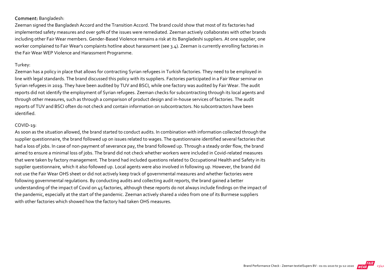#### Comment: Bangladesh:

Zeeman signed the Bangladesh Accord and the Transition Accord. The brand could show that most of its factories had implemented safety measures and over 90% of the issues were remediated. Zeeman actively collaborates with other brands including other Fair Wear members. Gender‐Based Violence remains a risk at its Bangladeshi suppliers. At one supplier, one worker complained to Fair Wear's complaints hotline about harassment (see 3.4). Zeeman is currently enrolling factories in the Fair Wear WEP Violence and Harassment Programme.

#### Turkey:

Zeeman has a policy in place that allows for contracting Syrian refugees in Turkish factories. They need to be employed in line with legal standards. The brand discussed this policy with its suppliers. Factories participated in a Fair Wear seminar on Syrian refugees in 2019. They have been audited by TUV and BSCI, while one factory was audited by Fair Wear. The audit reports did not identify the employment of Syrian refugees. Zeeman checks for subcontracting through its local agents and through other measures, such as through a comparison of product design and in‐house services of factories. The audit reports of TUV and BSCI often do not check and contain information on subcontractors. No subcontractors have been identified.

#### COVID-19:

As soon as the situation allowed, the brand started to conduct audits. In combination with information collected through the supplier questionnaire, the brand followed up on issues related to wages. The questionnaire identified several factories that had a loss of jobs. In case of non-payment of severance pay, the brand followed up. Through a steady order flow, the brand aimed to ensure a minimal loss of jobs. The brand did not check whether workers were included in Covid‐related measures that were taken by factory management. The brand had included questions related to Occupational Health and Safety in its supplier questionnaire, which it also followed up. Local agents were also involved in following up. However, the brand did not use the Fair Wear OHS sheet or did not actively keep track of governmental measures and whether factories were following governmental regulations. By conducting audits and collecting audit reports, the brand gained a better understanding of the impact of Covid on 45 factories, although these reports do not always include findings on the impact of the pandemic, especially at the start of the pandemic. Zeeman actively shared a video from one of its Burmese suppliers with other factories which showed how the factory had taken OHS measures.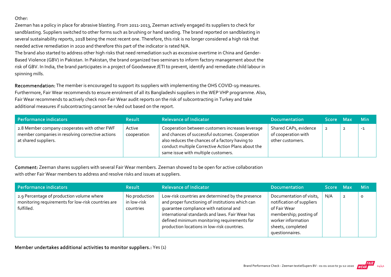#### Other:

Zeeman has a policy in place for abrasive blasting. From 2011‐2013, Zeeman actively engaged its suppliers to check for sandblasting. Suppliers switched to other forms such as brushing or hand sanding. The brand reported on sandblasting in several sustainability reports, 2018 being the most recent one. Therefore, this risk is no longer considered a high risk that needed active remediation in 2020 and therefore this part of the indicator is rated N/A.

The brand also started to address other high risks that need remediation such as excessive overtime in China and Gender‐ Based Violence (GBV) in Pakistan. In Pakistan, the brand organized two seminars to inform factory management about the risk of GBV. In India, the brand participates in a project of Goodweave /ETI to prevent, identify and remediate child labour in spinning mills.

Recommendation: The member is encouraged to support its suppliers with implementing the OHS COVID-19 measures. Furthermore, Fair Wear recommends to ensure enrolment of all its Bangladeshi suppliers in the WEP VHP programme. Also, Fair Wear recommends to actively check non-Fair Wear audit reports on the risk of subcontracting in Turkey and take additional measures if subcontracting cannot be ruled out based on the report.

| Performance indicators                                                                                                   | <b>Result</b>         | <b>Relevance of Indicator</b>                                                                                                                                                                                                                       | <b>Documentation</b>                                             | Score Max | <b>Min</b> |
|--------------------------------------------------------------------------------------------------------------------------|-----------------------|-----------------------------------------------------------------------------------------------------------------------------------------------------------------------------------------------------------------------------------------------------|------------------------------------------------------------------|-----------|------------|
| 2.8 Member company cooperates with other FWF<br>member companies in resolving corrective actions<br>at shared suppliers. | Active<br>cooperation | Cooperation between customers increases leverage<br>and chances of successful outcomes. Cooperation<br>also reduces the chances of a factory having to<br>conduct multiple Corrective Action Plans about the<br>same issue with multiple customers. | Shared CAPs, evidence<br>of cooperation with<br>other customers. |           | $-1$       |

Comment: Zeeman shares suppliers with several Fair Wear members. Zeeman showed to be open for active collaboration with other Fair Wear members to address and resolve risks and issues at suppliers.

| Performance indicators                                                                                        | <b>Result</b>                             | <b>Relevance of Indicator</b>                                                                                                                                                                                                                                                                    | <b>Documentation</b>                                                                                                                                          | Score Max |                | – Min   |
|---------------------------------------------------------------------------------------------------------------|-------------------------------------------|--------------------------------------------------------------------------------------------------------------------------------------------------------------------------------------------------------------------------------------------------------------------------------------------------|---------------------------------------------------------------------------------------------------------------------------------------------------------------|-----------|----------------|---------|
| 2.9 Percentage of production volume where<br>monitoring requirements for low-risk countries are<br>fulfilled. | No production<br>in low-risk<br>countries | Low-risk countries are determined by the presence<br>and proper functioning of institutions which can<br>quarantee compliance with national and<br>international standards and laws. Fair Wear has<br>defined minimum monitoring requirements for<br>production locations in low-risk countries. | Documentation of visits,<br>notification of suppliers<br>of Fair Wear<br>membership; posting of<br>worker information<br>sheets, completed<br>questionnaires. | N/A       | $\overline{2}$ | $\circ$ |

Member undertakes additional activities to monitor suppliers.: Yes (1)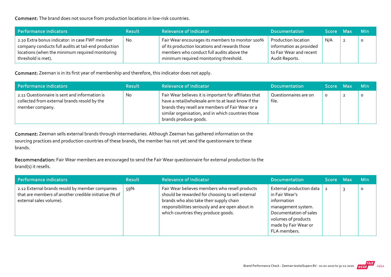Comment: The brand does not source from production locations in low‐risk countries.

| Performance indicators,                                                                                                                                                        | <b>Result</b> | <b>Relevance of Indicator</b>                                                                                                                                                            | <b>Documentation</b>                                                                               | Score Max | <b>Min</b> |
|--------------------------------------------------------------------------------------------------------------------------------------------------------------------------------|---------------|------------------------------------------------------------------------------------------------------------------------------------------------------------------------------------------|----------------------------------------------------------------------------------------------------|-----------|------------|
| 2.10 Extra bonus indicator: in case FWF member<br>company conducts full audits at tail-end production<br>locations (when the minimum required monitoring<br>threshold is met). | No            | Fair Wear encourages its members to monitor 100%<br>of its production locations and rewards those<br>members who conduct full audits above the<br>minimum required monitoring threshold. | <b>Production location</b><br>information as provided<br>to Fair Wear and recent<br>Audit Reports. | N/A       |            |

Comment: Zeeman is in its first year of membership and therefore, this indicator does not apply.

| Performance indicators                                                                                           | <b>Result</b> | <b>Relevance of Indicator</b>                                                                                                                                                                                                                    | <b>Documentation</b>           | Score Max | <b>Min</b> |
|------------------------------------------------------------------------------------------------------------------|---------------|--------------------------------------------------------------------------------------------------------------------------------------------------------------------------------------------------------------------------------------------------|--------------------------------|-----------|------------|
| 2.11 Questionnaire is sent and information is<br>collected from external brands resold by the<br>member company. | <b>No</b>     | Fair Wear believes it is important for affiliates that<br>have a retail/wholesale arm to at least know if the<br>brands they resell are members of Fair Wear or a<br>similar organisation, and in which countries those<br>brands produce goods. | Questionnaires are on<br>file. | $\Omega$  | $\circ$    |

Comment: Zeeman sells external brands through intermediaries. Although Zeeman has gathered information on the sourcing practices and production countries of these brands, the member has not yet send the questionnaire to these brands.

Recommendation: Fair Wear members are encouraged to send the Fair Wear questionnaire for external production to the brand(s) it resells.

| <b>Performance indicators</b>                                                                                                       | <b>Result</b> | <b>Relevance of Indicator</b>                                                                                                                                                                                                            | <b>Documentation</b>                                                                                                                                                     | Score Max      | <b>Min</b> |
|-------------------------------------------------------------------------------------------------------------------------------------|---------------|------------------------------------------------------------------------------------------------------------------------------------------------------------------------------------------------------------------------------------------|--------------------------------------------------------------------------------------------------------------------------------------------------------------------------|----------------|------------|
| 2.12 External brands resold by member companies<br>that are members of another credible initiative (% of<br>external sales volume). | 59%           | Fair Wear believes members who resell products<br>should be rewarded for choosing to sell external<br>brands who also take their supply chain<br>responsibilities seriously and are open about in<br>which countries they produce goods. | External production data<br>in Fair Wear's<br>information<br>management system.<br>Documentation of sales<br>volumes of products<br>made by Fair Wear or<br>FLA members. | $\overline{2}$ | $\circ$    |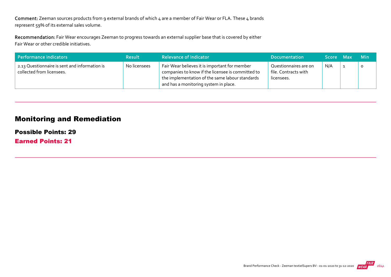Comment: Zeeman sources products from 9 external brands of which 4 are a member of Fair Wear or FLA. These 4 brands represent 59% of its external sales volume.

Recommendation: Fair Wear encourages Zeeman to progress towards an external supplier base that is covered by either Fair Wear or other credible initiatives.

| Performance indicators                                                     | <b>Result</b> | <b>Relevance of Indicator</b>                                                                                                                                                                  | <b>Documentation</b>                                        | Score Max | -Min |
|----------------------------------------------------------------------------|---------------|------------------------------------------------------------------------------------------------------------------------------------------------------------------------------------------------|-------------------------------------------------------------|-----------|------|
| 2.13 Questionnaire is sent and information is<br>collected from licensees. | No licensees  | Fair Wear believes it is important for member<br>companies to know if the licensee is committed to<br>the implementation of the same labour standards<br>and has a monitoring system in place. | Questionnaires are on<br>file. Contracts with<br>licensees. | N/A       |      |

### Monitoring and Remediation

Possible Points: 29

Earned Points: 21

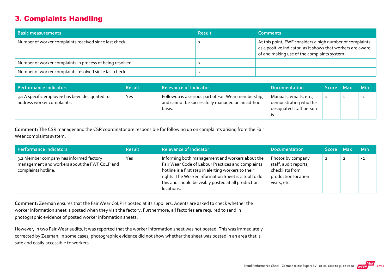# 3. Complaints Handling

| <b>Basic measurements</b>                                 | <b>Result</b> | <b>Comments</b>                                                                                                                                                        |
|-----------------------------------------------------------|---------------|------------------------------------------------------------------------------------------------------------------------------------------------------------------------|
| Number of worker complaints received since last check.    |               | At this point, FWF considers a high number of complaints<br>as a positive indicator, as it shows that workers are aware<br>of and making use of the complaints system. |
| Number of worker complaints in process of being resolved. |               |                                                                                                                                                                        |
| Number of worker complaints resolved since last check.    |               |                                                                                                                                                                        |

| Performance indicators                                                       | <b>Result</b> | <b>Relevance of Indicator</b>                                                                                    | Documentation                                                                     | Score Max | <b>Min</b> |
|------------------------------------------------------------------------------|---------------|------------------------------------------------------------------------------------------------------------------|-----------------------------------------------------------------------------------|-----------|------------|
| 3.1 A specific employee has been designated to<br>address worker complaints. | Yes           | Followup is a serious part of Fair Wear membership,<br>and cannot be successfully managed on an ad-hoc<br>basis. | Manuals, emails, etc.,<br>demonstrating who the<br>designated staff person<br>.כו |           | $-1$       |

Comment: The CSR manager and the CSR coordinator are responsible for following up on complaints arising from the Fair Wear complaints system.

| Performance indicators                                                                                          | <b>Result</b> | <b>Relevance of Indicator</b>                                                                                                                                                                                                                                                             | <b>Documentation</b>                                                                                 | Score Max      |                | <b>Min</b> |
|-----------------------------------------------------------------------------------------------------------------|---------------|-------------------------------------------------------------------------------------------------------------------------------------------------------------------------------------------------------------------------------------------------------------------------------------------|------------------------------------------------------------------------------------------------------|----------------|----------------|------------|
| 3.2 Member company has informed factory<br>management and workers about the FWF CoLP and<br>complaints hotline. | Yes           | Informing both management and workers about the<br>Fair Wear Code of Labour Practices and complaints<br>hotline is a first step in alerting workers to their<br>rights. The Worker Information Sheet is a tool to do<br>this and should be visibly posted at all production<br>locations. | Photos by company<br>staff, audit reports,<br>checklists from<br>production location<br>visits, etc. | $\overline{2}$ | $\overline{2}$ | $-2$       |

Comment: Zeeman ensures that the Fair Wear CoLP is posted at its suppliers. Agents are asked to check whether the worker information sheet is posted when they visit the factory. Furthermore, all factories are required to send in photographic evidence of posted worker information sheets.

However, in two Fair Wear audits, it was reported that the worker information sheet was not posted. This was immediately corrected by Zeeman. In some cases, photographic evidence did not show whether the sheet was posted in an area that is safe and easily accessible to workers.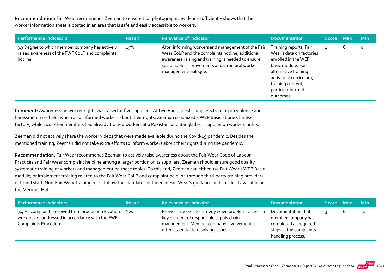Recommendation: Fair Wear recommends Zeeman to ensure that photographic evidence sufficiently shows that the worker information sheet is posted in an area that is safe and easily accessible to workers.

| Performance indicators                                                                                         | <b>Result</b> | <b>Relevance of Indicator</b>                                                                                                                                                                                                           | <b>Documentation</b>                                                                                                                                                                                     | <b>Score</b> | Max | <b>Min</b> |
|----------------------------------------------------------------------------------------------------------------|---------------|-----------------------------------------------------------------------------------------------------------------------------------------------------------------------------------------------------------------------------------------|----------------------------------------------------------------------------------------------------------------------------------------------------------------------------------------------------------|--------------|-----|------------|
| 3.3 Degree to which member company has actively<br>raised awareness of the FWF CoLP and complaints<br>hotline. | 15%           | After informing workers and management of the Fair<br>Wear CoLP and the complaints hotline, additional<br>awareness raising and training is needed to ensure<br>sustainable improvements and structural worker-<br>management dialogue. | Training reports, Fair<br>Wear's data on factories<br>enrolled in the WEP<br>basic module. For<br>alternative training<br>activities: curriculum,<br>training content,<br>participation and<br>outcomes. | 4            | b   | $\circ$    |

Comment: Awareness on worker rights was raised at five suppliers. At two Bangladeshi suppliers training on violence and harassment was held, which also informed workers about their rights. Zeeman organized a WEP Basic at one Chinese factory, while two other members had already trained workers at a Pakistani and Bangladeshi supplier on workers rights.

Zeeman did not actively share the worker videos that were made available during the Covid‐19 pandemic. Besides the mentioned training, Zeeman did not take extra efforts to inform workers about their rights during the pandemic.

Recommendation: Fair Wear recommends Zeeman to actively raise awareness about the Fair Wear Code of Labour Practices and Fair Wear complaint helpline among a larger portion of its suppliers. Zeeman should ensure good quality systematic training of workers and management on these topics. To this end, Zeeman can either use Fair Wear's WEP Basic module, or implement training related to the Fair Wear CoLP and complaint helpline through third‐party training providers or brand staff. Non‐Fair Wear training must follow the standards outlined in Fair Wear's guidance and checklist available on the Member Hub.

| Performance indicators                                                                                                            | <b>Result</b> | <b>Relevance of Indicator</b>                                                                                                                                                       | <b>Documentation</b>                                                                                               | Score Max | – Mini |
|-----------------------------------------------------------------------------------------------------------------------------------|---------------|-------------------------------------------------------------------------------------------------------------------------------------------------------------------------------------|--------------------------------------------------------------------------------------------------------------------|-----------|--------|
| 3.4 All complaints received from production location<br>workers are addressed in accordance with the FWF<br>Complaints Procedure. | Yes           | Providing access to remedy when problems arise is a<br>key element of responsible supply chain<br>management. Member company involvement is<br>often essential to resolving issues. | Documentation that<br>member company has<br>completed all required<br>steps in the complaints<br>handling process. |           | $-2$   |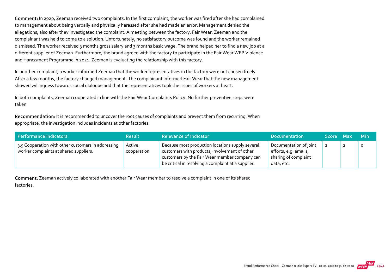Comment: In 2020, Zeeman received two complaints. In the first complaint, the worker was fired after she had complained to management about being verbally and physically harassed after she had made an error. Management denied the allegations, also after they investigated the complaint. A meeting between the factory, Fair Wear, Zeeman and the complainant was held to come to a solution. Unfortunately, no satisfactory outcome was found and the worker remained dismissed. The worker received 3 months gross salary and 3 months basic wage. The brand helped her to find a new job at a different supplier of Zeeman. Furthermore, the brand agreed with the factory to participate in the Fair Wear WEP Violence and Harassment Programme in 2021. Zeeman is evaluating the relationship with this factory.

In another complaint, a worker informed Zeeman that the worker representatives in the factory were not chosen freely. After a few months, the factory changed management. The complainant informed Fair Wear that the new management showed willingness towards social dialogue and that the representatives took the issues of workers at heart.

In both complaints, Zeeman cooperated in line with the Fair Wear Complaints Policy. No further preventive steps were taken.

Recommendation: It is recommended to uncover the root causes of complaints and prevent them from recurring. When appropriate, the investigation includes incidents at other factories.

| Performance indicators                                                                       | <b>Result</b>         | <b>Relevance of Indicator</b>                                                                                                                                                                             | <b>Documentation</b>                                                                  | Score Max | <b>Min</b> |
|----------------------------------------------------------------------------------------------|-----------------------|-----------------------------------------------------------------------------------------------------------------------------------------------------------------------------------------------------------|---------------------------------------------------------------------------------------|-----------|------------|
| 3.5 Cooperation with other customers in addressing<br>worker complaints at shared suppliers. | Active<br>cooperation | Because most production locations supply several<br>customers with products, involvement of other<br>customers by the Fair Wear member company can<br>be critical in resolving a complaint at a supplier. | Documentation of joint<br>efforts, e.g. emails,<br>sharing of complaint<br>data, etc. |           | $\circ$    |

Comment: Zeeman actively collaborated with another Fair Wear member to resolve a complaint in one of its shared factories.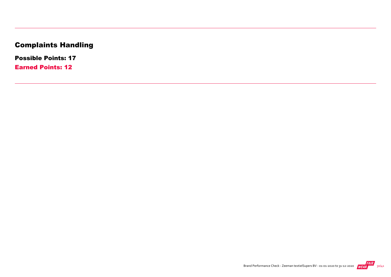# Complaints Handling

Possible Points: 17

Earned Points: 12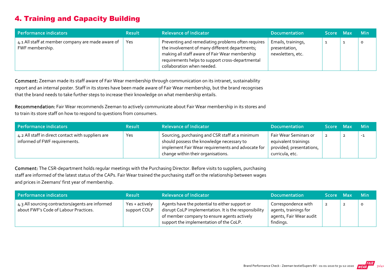# 4. Training and Capacity Building

| Performance indicators                                               | <b>Result</b> | <b>Relevance of Indicator</b>                                                                                                                                                                                                            | <b>Documentation</b>                                     | Score Max | <b>Min</b> |
|----------------------------------------------------------------------|---------------|------------------------------------------------------------------------------------------------------------------------------------------------------------------------------------------------------------------------------------------|----------------------------------------------------------|-----------|------------|
| 4.1 All staff at member company are made aware of<br>FWF membership. | Yes           | Preventing and remediating problems often requires<br>the involvement of many different departments;<br>making all staff aware of Fair Wear membership<br>requirements helps to support cross-departmental<br>collaboration when needed. | Emails, trainings,<br>presentation,<br>newsletters, etc. |           | O          |

Comment: Zeeman made its staff aware of Fair Wear membership through communication on its intranet, sustainability report and an internal poster. Staff in its stores have been made aware of Fair Wear membership, but the brand recognises that the brand needs to take further steps to increase their knowledge on what membership entails.

Recommendation: Fair Wear recommends Zeeman to actively communicate about Fair Wear membership in its stores and to train its store staff on how to respond to questions from consumers.

| Performance indicators                                                              | <b>Result</b> | <b>Relevance of Indicator</b>                                                                                                                                                           | <b>Documentation</b>                                                                         | Score Max | <b>Min</b> |
|-------------------------------------------------------------------------------------|---------------|-----------------------------------------------------------------------------------------------------------------------------------------------------------------------------------------|----------------------------------------------------------------------------------------------|-----------|------------|
| 4.2 All staff in direct contact with suppliers are<br>informed of FWF requirements. | Yes           | Sourcing, purchasing and CSR staff at a minimum<br>should possess the knowledge necessary to<br>implement Fair Wear requirements and advocate for<br>change within their organisations. | Fair Wear Seminars or<br>equivalent trainings<br>provided; presentations,<br>curricula, etc. |           | $-1$       |

Comment: The CSR‐department holds regular meetings with the Purchasing Director. Before visits to suppliers, purchasing staff are informed of the latest status of the CAPs. Fair Wear trained the purchasing staff on the relationship between wages and prices in Zeemans' first year of membership.

| Performance indicators                                                                    | <b>Result</b>                  | <b>Relevance of Indicator</b>                                                                                                                                                                     | Documentation                                                                        | Score Max      | <b>Min</b> |
|-------------------------------------------------------------------------------------------|--------------------------------|---------------------------------------------------------------------------------------------------------------------------------------------------------------------------------------------------|--------------------------------------------------------------------------------------|----------------|------------|
| 4.3 All sourcing contractors/agents are informed<br>about FWF's Code of Labour Practices. | Yes + actively<br>support COLP | Agents have the potential to either support or<br>disrupt CoLP implementation. It is the responsibility<br>of member company to ensure agents actively<br>support the implementation of the CoLP. | Correspondence with<br>agents, trainings for<br>agents, Fair Wear audit<br>findings. | $\overline{2}$ |            |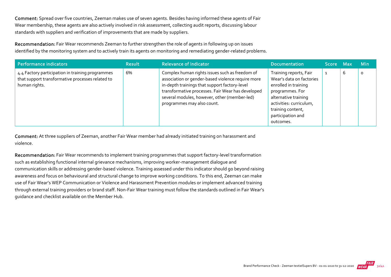Comment: Spread over five countries, Zeeman makes use of seven agents. Besides having informed these agents of Fair Wear membership, these agents are also actively involved in risk assessment, collecting audit reports, discussing labour standards with suppliers and verification of improvements that are made by suppliers.

Recommendation: Fair Wear recommends Zeeman to further strengthen the role of agents in following up on issues identified by the monitoring system and to actively train its agents on monitoring and remediating gender‐related problems.

| Performance indicators                                                                                                | <b>Result</b> | <b>Relevance of Indicator</b>                                                                                                                                                                                                                                                           | <b>Documentation</b>                                                                                                                                                                                    | Score Max |   | <b>Min</b> |
|-----------------------------------------------------------------------------------------------------------------------|---------------|-----------------------------------------------------------------------------------------------------------------------------------------------------------------------------------------------------------------------------------------------------------------------------------------|---------------------------------------------------------------------------------------------------------------------------------------------------------------------------------------------------------|-----------|---|------------|
| 4.4 Factory participation in training programmes<br>that support transformative processes related to<br>human rights. | 6%            | Complex human rights issues such as freedom of<br>association or gender-based violence require more<br>in-depth trainings that support factory-level<br>transformative processes. Fair Wear has developed<br>several modules, however, other (member-led)<br>programmes may also count. | Training reports, Fair<br>Wear's data on factories<br>enrolled in training<br>programmes. For<br>alternative training<br>activities: curriculum,<br>training content,<br>participation and<br>outcomes. |           | 6 | O          |

Comment: At three suppliers of Zeeman, another Fair Wear member had already initiated training on harassment and violence.

Recommendation: Fair Wear recommends to implement training programmes that support factory-level transformation such as establishing functional internal grievance mechanisms, improving worker‐management dialogue and communication skills or addressing gender‐based violence. Training assessed under this indicator should go beyond raising awareness and focus on behavioural and structural change to improve working conditions. To this end, Zeeman can make use of Fair Wear's WEP Communication or Violence and Harassment Prevention modules or implement advanced training through external training providers or brand staff. Non‐Fair Wear training must follow the standards outlined in Fair Wear's guidance and checklist available on the Member Hub.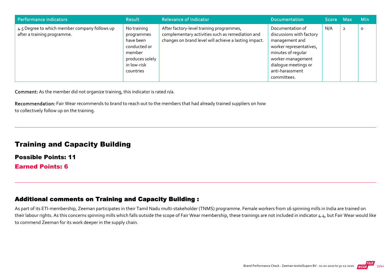| Performance indicators                                                       | <b>Result</b>                                                                                                   | <b>Relevance of Indicator</b>                                                                                                                         | Documentation                                                                                                                                                                                  | Score Max |                | <b>Min</b> |
|------------------------------------------------------------------------------|-----------------------------------------------------------------------------------------------------------------|-------------------------------------------------------------------------------------------------------------------------------------------------------|------------------------------------------------------------------------------------------------------------------------------------------------------------------------------------------------|-----------|----------------|------------|
| 4.5 Degree to which member company follows up<br>after a training programme. | No training<br>programmes<br>have been<br>conducted or<br>member<br>produces solely<br>in low-risk<br>countries | After factory-level training programmes,<br>complementary activities such as remediation and<br>changes on brand level will achieve a lasting impact. | Documentation of<br>discussions with factory<br>management and<br>worker representatives,<br>minutes of regular<br>worker-management<br>dialogue meetings or<br>anti-harassment<br>committees. | N/A       | $\overline{2}$ | O          |

Comment: As the member did not organize training, this indicator is rated n/a.

Recommendation: Fair Wear recommends to brand to reach out to the members that had already trained suppliers on how to collectively follow up on the training.

### Training and Capacity Building

Possible Points: 11 Earned Points: 6

#### Additional comments on Training and Capacity Building :

As part of its ETI-membership, Zeeman participates in their Tamil Nadu multi-stakeholder (TNMS) programme. Female workers from 16 spinning mills in India are trained on their labour rights. As this concerns spinning mills which falls outside the scope of Fair Wear membership, these trainings are not included in indicator 4.4, but Fair Wear would like to commend Zeeman for its work deeper in the supply chain.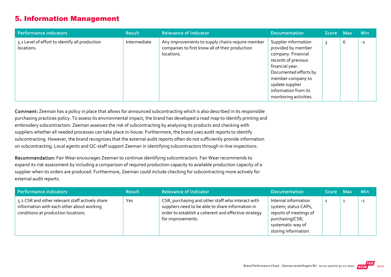### 5. Information Management

| Performance indicators                                       | <b>Result</b> | <b>Relevance of Indicator</b>                                                                                     | <b>Documentation</b>                                                                                                                                                                                                          | Score Max |   | <b>Min</b> |
|--------------------------------------------------------------|---------------|-------------------------------------------------------------------------------------------------------------------|-------------------------------------------------------------------------------------------------------------------------------------------------------------------------------------------------------------------------------|-----------|---|------------|
| 5.1 Level of effort to identify all production<br>locations. | Intermediate  | Any improvements to supply chains require member<br>companies to first know all of their production<br>locations. | Supplier information<br>provided by member<br>company. Financial<br>records of previous<br>financial year.<br>Documented efforts by<br>member company to<br>update supplier<br>information from its<br>monitoring activities. |           | b | $-2$       |

Comment: Zeeman has a policy in place that allows for announced subcontracting which is also described in its responsible purchasing practices policy. To assess its environmental impact, the brand has developed a road map to identify printing and embroidery subcontractors. Zeeman assesses the risk of subcontracting by analysing its products and checking with suppliers whether all needed processes can take place in‐house. Furthermore, the brand uses audit reports to identify subcontracting. However, the brand recognizes that the external audit reports often do not sufficiently provide information on subcontracting. Local agents and QC‐staff support Zeeman in identifying subcontractors through in‐line inspections.

Recommendation: Fair Wear encourages Zeeman to continue identifying subcontractors. Fair Wear recommends to expand its risk assessment by including a comparison of required production capacity to available production capacity of a supplier when its orders are produced. Furthermore, Zeeman could include checking for subcontracting more actively for external audit reports.

| Performance indicators                                                                                                              | <b>Result</b> | <b>Relevance of Indicator</b>                                                                                                                                                       | <b>Documentation</b>                                                                                                                   | Score Max | — Min |
|-------------------------------------------------------------------------------------------------------------------------------------|---------------|-------------------------------------------------------------------------------------------------------------------------------------------------------------------------------------|----------------------------------------------------------------------------------------------------------------------------------------|-----------|-------|
| 5.2 CSR and other relevant staff actively share<br>information with each other about working<br>conditions at production locations. | Yes           | CSR, purchasing and other staff who interact with<br>suppliers need to be able to share information in<br>order to establish a coherent and effective strategy<br>for improvements. | Internal information<br>system; status CAPs,<br>reports of meetings of<br>purchasing/CSR;<br>systematic way of<br>storing information. |           | $-1$  |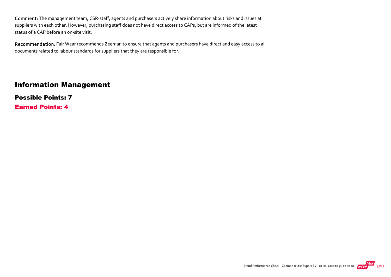Comment: The management team, CSR‐staff, agents and purchasers actively share information about risks and issues at suppliers with each other. However, purchasing staff does not have direct access to CAPs, but are informed of the latest status of a CAP before an on‐site visit.

Recommendation: Fair Wear recommends Zeeman to ensure that agents and purchasers have direct and easy access to all documents related to labour standards for suppliers that they are responsible for.

#### Information Management

Possible Points: 7 Earned Points: 4

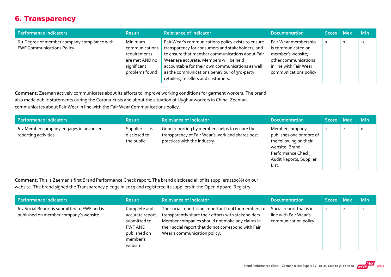# 6. Transparency

| Performance indicators                                                            | <b>Result</b>                                                                                | <b>Relevance of Indicator</b>                                                                                                                                                                                                                                                                                                                   | <b>Documentation</b>                                                                                                                        | Score Max | <b>Min</b> |
|-----------------------------------------------------------------------------------|----------------------------------------------------------------------------------------------|-------------------------------------------------------------------------------------------------------------------------------------------------------------------------------------------------------------------------------------------------------------------------------------------------------------------------------------------------|---------------------------------------------------------------------------------------------------------------------------------------------|-----------|------------|
| 6.1 Degree of member company compliance with<br><b>FWF Communications Policy.</b> | Minimum<br>communications<br>requirements<br>are met AND no<br>significant<br>problems found | Fair Wear's communications policy exists to ensure<br>transparency for consumers and stakeholders, and<br>to ensure that member communications about Fair<br>Wear are accurate. Members will be held<br>accountable for their own communications as well<br>as the communications behaviour of 3rd-party<br>retailers, resellers and customers. | Fair Wear membership<br>is communicated on<br>member's website;<br>other communications<br>in line with Fair Wear<br>communications policy. |           | -3         |

Comment: Zeeman actively communicates about its efforts to improve working conditions for garment workers. The brand also made public statements during the Corona‐crisis and about the situation of Uyghur workers in China. Zeeman communicates about Fair Wear in line with the Fair Wear Communications policy.

| Performance indicators                                          | <b>Result</b>                                   | <b>Relevance of Indicator</b>                                                                                                     | <b>Documentation</b>                                                                                                                             | Score Max      |                | <b>Min</b> |
|-----------------------------------------------------------------|-------------------------------------------------|-----------------------------------------------------------------------------------------------------------------------------------|--------------------------------------------------------------------------------------------------------------------------------------------------|----------------|----------------|------------|
| 6.2 Member company engages in advanced<br>reporting activities. | Supplier list is<br>disclosed to<br>the public. | Good reporting by members helps to ensure the<br>transparency of Fair Wear's work and shares best<br>practices with the industry. | Member company<br>publishes one or more of<br>the following on their<br>website: Brand<br>Performance Check,<br>Audit Reports, Supplier<br>List. | $\overline{2}$ | $\overline{2}$ | O          |

Comment: This is Zeeman's first Brand Performance Check report. The brand disclosed all of its suppliers (100%) on our website. The brand signed the Transparency pledge in 2019 and registered its suppliers in the Open Apparel Registry.

| Performance indicators                                                                 | <b>Result</b>                                                                                      | <b>Relevance of Indicator</b>                                                                                                                                                                                                                           | <b>Documentation</b>                                                       | <b>Score</b>   | <b>Max</b> | <b>Min</b> |
|----------------------------------------------------------------------------------------|----------------------------------------------------------------------------------------------------|---------------------------------------------------------------------------------------------------------------------------------------------------------------------------------------------------------------------------------------------------------|----------------------------------------------------------------------------|----------------|------------|------------|
| 6.3 Social Report is submitted to FWF and is<br>published on member company's website. | Complete and<br>accurate report<br>submitted to<br>FWF AND<br>published on<br>member's<br>website. | The social report is an important tool for members to<br>transparently share their efforts with stakeholders.<br>Member companies should not make any claims in<br>their social report that do not correspond with Fair<br>Wear's communication policy. | Social report that is in<br>line with Fair Wear's<br>communication policy. | $\overline{2}$ |            | $-1$       |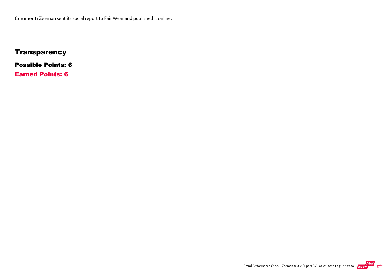# **Transparency**

Possible Points: 6

Earned Points: 6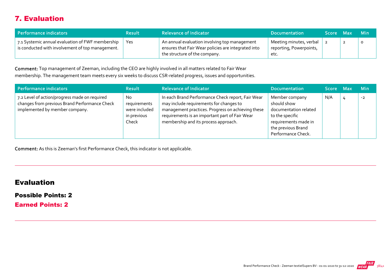# 7. Evaluation

| Performance indicators                                                                               | <b>Result</b> | <b>Relevance of Indicator</b>                                                                                                         | <b>Documentation</b>                                       | Score Max |   | – Min |
|------------------------------------------------------------------------------------------------------|---------------|---------------------------------------------------------------------------------------------------------------------------------------|------------------------------------------------------------|-----------|---|-------|
| 7.1 Systemic annual evaluation of FWF membership<br>is conducted with involvement of top management. | Yes           | An annual evaluation involving top management<br>ensures that Fair Wear policies are integrated into<br>the structure of the company. | Meeting minutes, verbal<br>reporting, Powerpoints,<br>etc. |           | ∼ |       |

Comment: Top management of Zeeman, including the CEO are highly involved in all matters related to Fair Wear membership. The management team meets every six weeks to discuss CSR‐related progress, issues and opportunities.

| Performance indicators                                                                                                           | <b>Result</b>                                                | <b>Relevance of Indicator</b>                                                                                                                                                                                                               | <b>Documentation</b>                                                                                                                          | Score Max | <b>Min</b> |
|----------------------------------------------------------------------------------------------------------------------------------|--------------------------------------------------------------|---------------------------------------------------------------------------------------------------------------------------------------------------------------------------------------------------------------------------------------------|-----------------------------------------------------------------------------------------------------------------------------------------------|-----------|------------|
| 7.2 Level of action/progress made on required<br>changes from previous Brand Performance Check<br>implemented by member company. | No.<br>requirements<br>were included<br>in previous<br>Check | In each Brand Performance Check report, Fair Wear<br>may include requirements for changes to<br>management practices. Progress on achieving these<br>requirements is an important part of Fair Wear<br>membership and its process approach. | Member company<br>should show<br>documentation related<br>to the specific<br>requirements made in<br>the previous Brand<br>Performance Check. | N/A       | $-2$       |

Comment: As this is Zeeman's first Performance Check, this indicator is not applicable.

#### Evaluation

Possible Points: 2

Earned Points: 2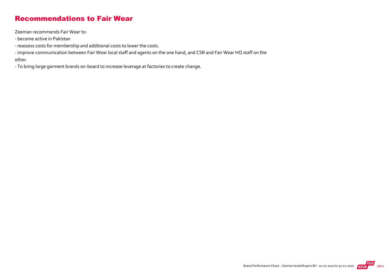### Recommendations to Fair Wear

Zeeman recommends Fair Wear to:

- ‐ become active in Pakistan
- ‐ reassess costs for membership and additional costs to lower the costs.
- ‐ improve communication between Fair Wear local staff and agents on the one hand, and CSR and Fair Wear HQ staff on the other.
- ‐ To bring large garment brands on‐board to increase leverage at factories to create change.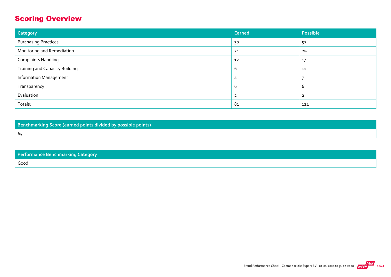# Scoring Overview

| Category                              | Earned | Possible |
|---------------------------------------|--------|----------|
| <b>Purchasing Practices</b>           | 30     | 52       |
| Monitoring and Remediation            | 21     | 29       |
| <b>Complaints Handling</b>            | 12     | 17       |
| <b>Training and Capacity Building</b> | b      | 11       |
| <b>Information Management</b>         |        |          |
| Transparency                          | b      | b        |
| Evaluation                            |        |          |
| Totals:                               | 81     | 124      |

Benchmarking Score (earned points divided by possible points) 65

| <b>Performance Benchmarking Category</b> |
|------------------------------------------|
| Good                                     |